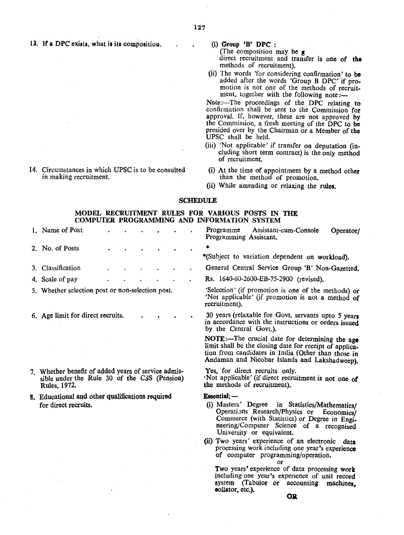13. If a DPC exists, what is its composition.

14. Circumstances in which UPSC is to be consulted in making recruitment.

 $(i)$  Group 'B' DPC :

(The composition may be  $\boldsymbol{\epsilon}$ direct recruitment and transfer is one of the methods of recruitment).

(ii) The words 'for considering confirmation' to be added after the words 'Group B OPC' if promotion is not one of the methods of recruitment, together with the following note:-

Note:- The proceedings of the DPC relating to confirmation shall be sent to the Commission for approval. If, however, these are not approved by the Commission, a fresh meeting of the DPC to be presided over by the Chairman or a Member of the UPSC shall be held.

- (iii) 'Not applicable' if transfer on deputation (including short term contract) is the only method of recruitment.
- (i) At the time of appointment by a method other than the method of promotion.
- (ii) While amending or relaxing the rules.

### **SCHEDULE**

# MODEL RECRUITMENT RULES FOR VARIOUS POSTS IN THE COMPUTER PROGRAMMING AND INFORMATION SYSTEM

1. Name of Post . . . . . . . Programme Assistant-cum-Console Operator/ Programming Assistant. 2. No. of Posts \*(Subject to variation dependent on workload). General Central Service Group 'B' Non-Gazetted. 3. Classification 4. Scale of pay Rs. 1640-60-2600-EB-75-2900 (revised). 5. Whether selection post or non-selection post. 'Selection' (if promotion is one of the methods) *ot* 'Not applicable' (if promotion is not a method *of* recruitment). 30 years (relaxable for Govt. servants upto 5 years 6. Age limit for direct recruits. in accordance with the instructions or orders issued by the Central Govt,). NOTE:-The crucial date for determining the age limit shall be the closing date for receipt of application from candidates in India (Other than those in Andaman and Nicobar Islands and Lakshadweep). 7. Whether benefit of added years of service admis-Yes, for direct recruits only. sible under the Rule 30 of the CSS (Pension) Not applicable' (if direct recruitment is not one of the methods of recruitment). Rules, 1972. 8. Educational and other qualifications required Essential:-(i) Masters' Degree in Statistics/Mathematics/ for direct recruits. Operations Research/Physics or Economics/ Commerce (with Statistics) or Degree in Engineering/Computer Science of a recognised University or equivalent. (ii) Two years' experience of an electronic data processing work including one year's experience of computer programming/operation. or Two years' experience of data processing work including one year's experience of unit record

**OR** 

system (Tabulor or accounting machines,

oollator. etc.).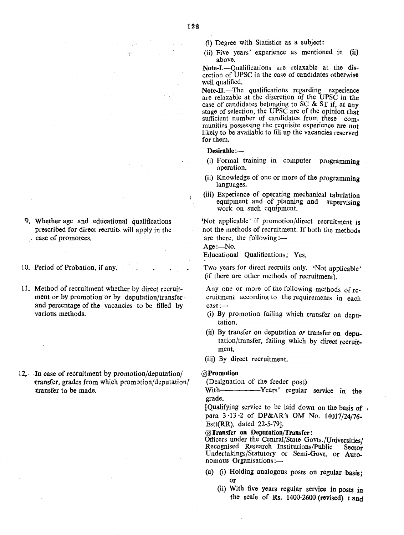- ~) Degree with Statistics as a subject:
- (ii) Five years' experience as mentioned in (ii) above.

Note-I.-Oualifications are relaxable at the discretion of UPSC in the case of candidates otherwise well qualified.

Note-II.—The qualifications regarding experience are relaxable at the discretion of the UPSC in the case of candidates belonging to SC  $&$  ST if, at any stage of selection, the UPSC are of the opinion that sufficient number of candidates from these communities possessing the requisite experience are not likely to be available to fill up the vacancies reserved for them.

#### Desirable :-

- (i) Formal training in computer programming operation.
- (ii) Knowledge of one or more of the programming languages.
- (iii) Experience of operating mechanical tabulation equipment and of planning and supervising work on such equipment.

'Not applicable' if promotion/direct recruitment is not the methods of recruitment. If both the methods are there, the following: $-$ 

Age:-No.

À.

Educational Qualifications; Yes.

Two years for direct recruits only. 'Not applicable' (if there are other methods of recruitment).

Any one or more of the following methods of recruitment according to the requirements in each case:-

- (i) By promotion failing which transfer on deputation.
- (ii) By transfer on deputation *or* transfer on deputation/transfer, failing which by direct recruitment.
- (iii) By direct recruitment.

### @Promotion

(Designation of the feeder post)

With- $\cdots$ ---------Years' regular service in the grade.

[Qualifying service to be laid down on the basis of para 3·13·2 of DP&AR's OM No. 14017/24/76- Estt(RR), dated 22-5-79].

@Transfer on Deputation/Transfer:

Officers under the Central/State Govts./Universities/ Recognised Research Institutions/Public Sector Undertakings/Statutory or Semi-Govt. or Autonomous Organisations:-

- (a) (i) Holding analogous posts on regular basis; or
	- (ii) With five years regular service in posts *in* the scale of Rs. 1400-2600 (revised) : and
- 9. Whether age and educational qualifications prescribed for direct recruits will apply in the case of promotees.
- 10. Period of Probation, if any.
- 11. Method of recruitment whether by direct recruitment or by promotion or by deputation/transfer $\sqrt{ }$ and percentage of the vacancies to be filled by various-methods.
- 12. In case of recruitment by promotion/deputation/ transfer, grades from which promotion/deputation/ transfer to be made.